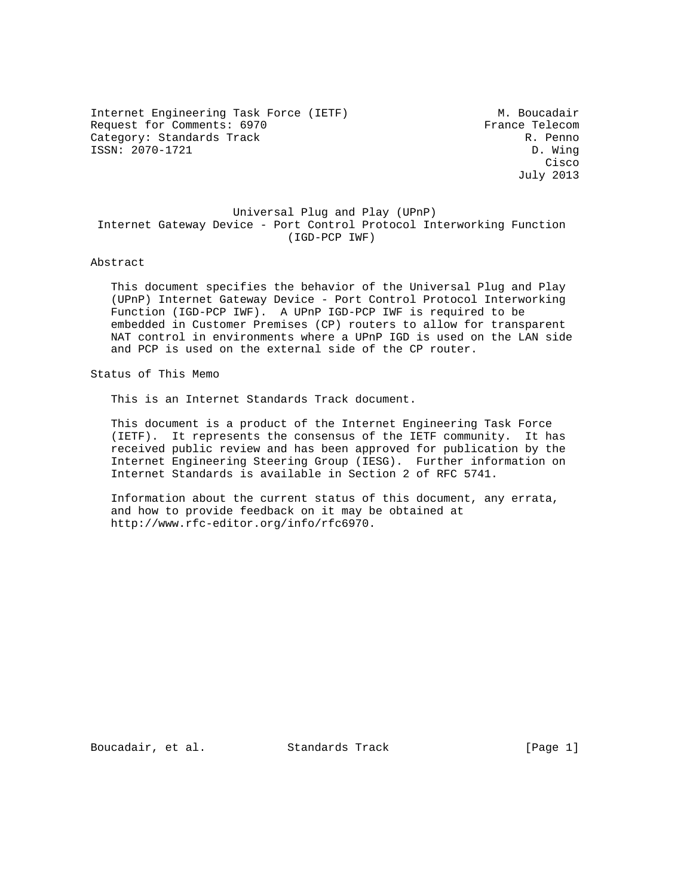Internet Engineering Task Force (IETF) M. Boucadair Request for Comments: 6970 France Telecom<br>
Category: Standards Track R. Penno Category: Standards Track ISSN: 2070-1721 D. Wing

**Cisco de la contrata de la contrata de la contrata de la contrata de la contrata de la contrata de la contrat** July 2013

## Universal Plug and Play (UPnP) Internet Gateway Device - Port Control Protocol Interworking Function (IGD-PCP IWF)

### Abstract

 This document specifies the behavior of the Universal Plug and Play (UPnP) Internet Gateway Device - Port Control Protocol Interworking Function (IGD-PCP IWF). A UPnP IGD-PCP IWF is required to be embedded in Customer Premises (CP) routers to allow for transparent NAT control in environments where a UPnP IGD is used on the LAN side and PCP is used on the external side of the CP router.

Status of This Memo

This is an Internet Standards Track document.

 This document is a product of the Internet Engineering Task Force (IETF). It represents the consensus of the IETF community. It has received public review and has been approved for publication by the Internet Engineering Steering Group (IESG). Further information on Internet Standards is available in Section 2 of RFC 5741.

 Information about the current status of this document, any errata, and how to provide feedback on it may be obtained at http://www.rfc-editor.org/info/rfc6970.

Boucadair, et al. Standards Track [Page 1]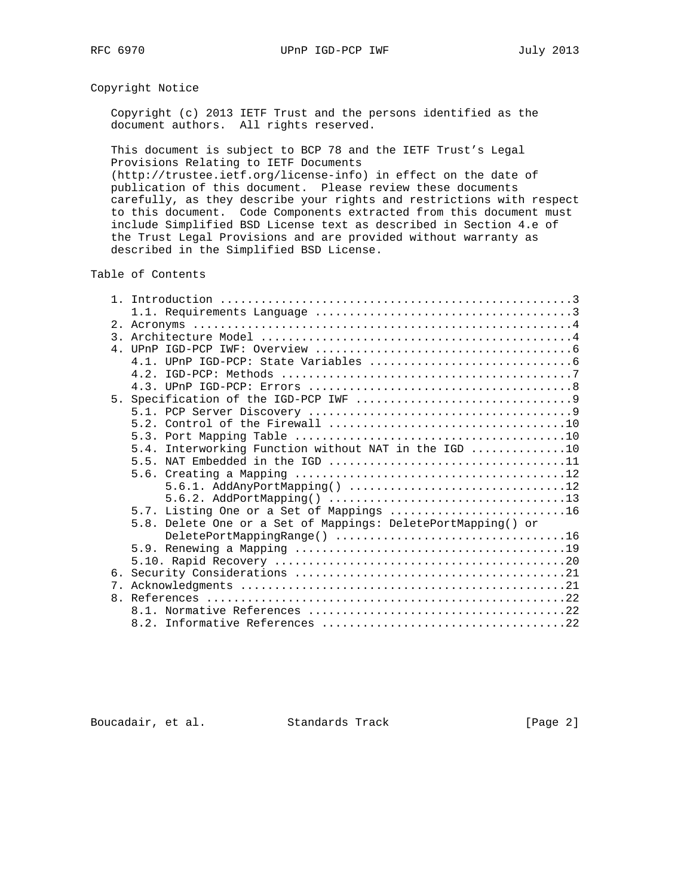# Copyright Notice

 Copyright (c) 2013 IETF Trust and the persons identified as the document authors. All rights reserved.

 This document is subject to BCP 78 and the IETF Trust's Legal Provisions Relating to IETF Documents

 (http://trustee.ietf.org/license-info) in effect on the date of publication of this document. Please review these documents carefully, as they describe your rights and restrictions with respect to this document. Code Components extracted from this document must include Simplified BSD License text as described in Section 4.e of the Trust Legal Provisions and are provided without warranty as described in the Simplified BSD License.

Table of Contents

| $\mathcal{R}$ |                                                                                               |
|---------------|-----------------------------------------------------------------------------------------------|
|               |                                                                                               |
|               |                                                                                               |
|               |                                                                                               |
|               |                                                                                               |
|               |                                                                                               |
|               |                                                                                               |
|               |                                                                                               |
|               |                                                                                               |
|               | 5.4. Interworking Function without NAT in the IGD 10                                          |
|               | 5.5. NAT Embedded in the IGD $\dots\dots\dots\dots\dots\dots\dots\dots\dots\dots\dots\dots11$ |
|               |                                                                                               |
|               |                                                                                               |
|               |                                                                                               |
|               | 5.7. Listing One or a Set of Mappings 16                                                      |
|               | 5.8. Delete One or a Set of Mappings: DeletePortMapping() or                                  |
|               |                                                                                               |
|               |                                                                                               |
|               |                                                                                               |
|               |                                                                                               |
|               |                                                                                               |
|               |                                                                                               |
|               |                                                                                               |
|               |                                                                                               |

Boucadair, et al. Standards Track [Page 2]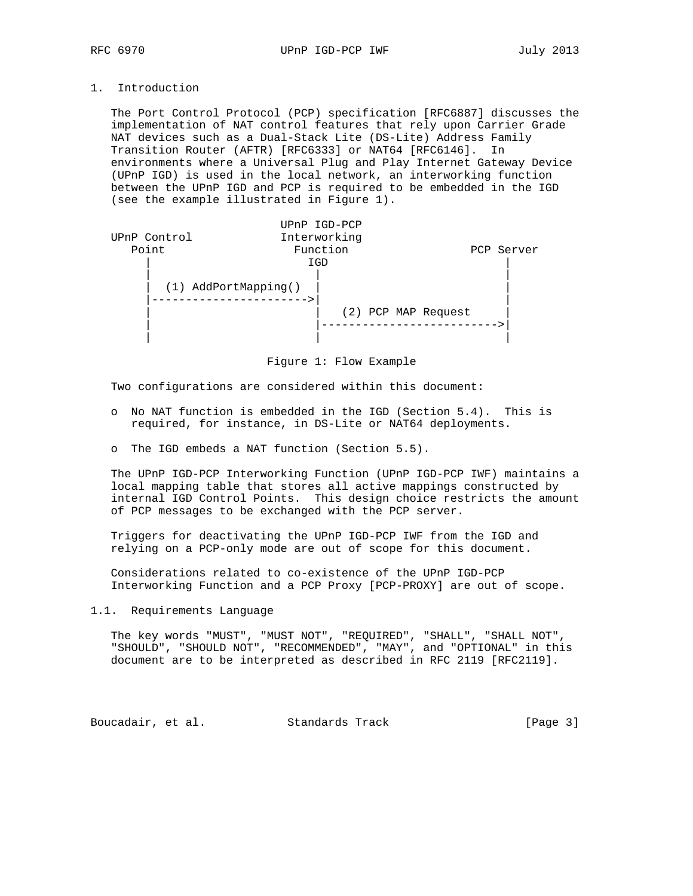# 1. Introduction

 The Port Control Protocol (PCP) specification [RFC6887] discusses the implementation of NAT control features that rely upon Carrier Grade NAT devices such as a Dual-Stack Lite (DS-Lite) Address Family Transition Router (AFTR) [RFC6333] or NAT64 [RFC6146]. In environments where a Universal Plug and Play Internet Gateway Device (UPnP IGD) is used in the local network, an interworking function between the UPnP IGD and PCP is required to be embedded in the IGD (see the example illustrated in Figure 1).

|              |                        | UPnP IGD-PCP |                     |            |
|--------------|------------------------|--------------|---------------------|------------|
| UPnP Control |                        | Interworking |                     |            |
| Point        |                        | Function     |                     | PCP Server |
|              |                        | IGD          |                     |            |
|              | $(1)$ AddPortMapping() |              |                     |            |
|              |                        |              | (2) PCP MAP Request |            |
|              |                        |              |                     |            |

Figure 1: Flow Example

Two configurations are considered within this document:

- o No NAT function is embedded in the IGD (Section 5.4). This is required, for instance, in DS-Lite or NAT64 deployments.
- o The IGD embeds a NAT function (Section 5.5).

 The UPnP IGD-PCP Interworking Function (UPnP IGD-PCP IWF) maintains a local mapping table that stores all active mappings constructed by internal IGD Control Points. This design choice restricts the amount of PCP messages to be exchanged with the PCP server.

 Triggers for deactivating the UPnP IGD-PCP IWF from the IGD and relying on a PCP-only mode are out of scope for this document.

 Considerations related to co-existence of the UPnP IGD-PCP Interworking Function and a PCP Proxy [PCP-PROXY] are out of scope.

# 1.1. Requirements Language

 The key words "MUST", "MUST NOT", "REQUIRED", "SHALL", "SHALL NOT", "SHOULD", "SHOULD NOT", "RECOMMENDED", "MAY", and "OPTIONAL" in this document are to be interpreted as described in RFC 2119 [RFC2119].

Boucadair, et al. Standards Track [Page 3]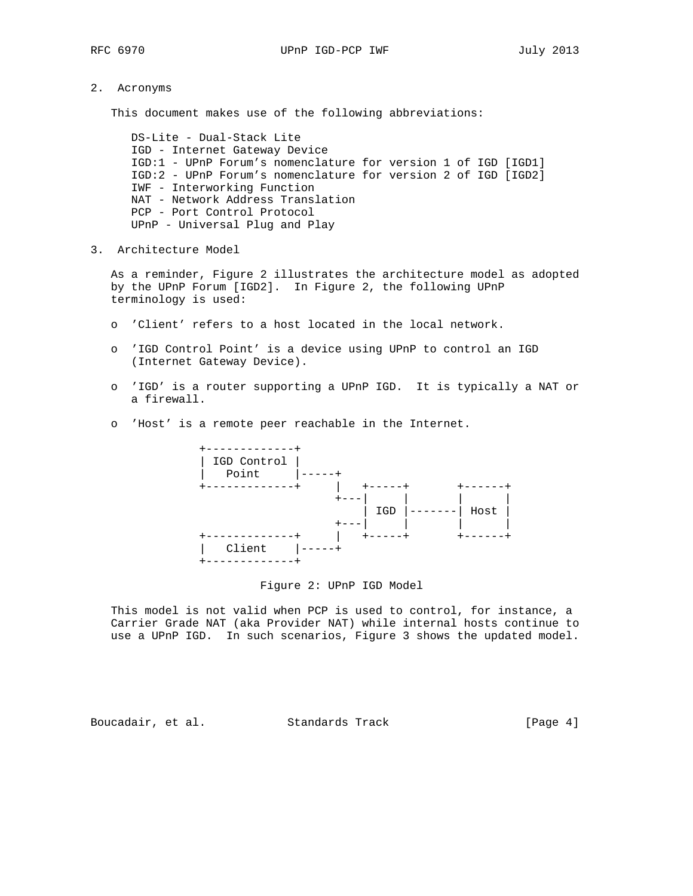2. Acronyms

This document makes use of the following abbreviations:

 DS-Lite - Dual-Stack Lite IGD - Internet Gateway Device IGD:1 - UPnP Forum's nomenclature for version 1 of IGD [IGD1] IGD:2 - UPnP Forum's nomenclature for version 2 of IGD [IGD2] IWF - Interworking Function NAT - Network Address Translation PCP - Port Control Protocol UPnP - Universal Plug and Play

3. Architecture Model

 As a reminder, Figure 2 illustrates the architecture model as adopted by the UPnP Forum [IGD2]. In Figure 2, the following UPnP terminology is used:

- o 'Client' refers to a host located in the local network.
- o 'IGD Control Point' is a device using UPnP to control an IGD (Internet Gateway Device).
- o 'IGD' is a router supporting a UPnP IGD. It is typically a NAT or a firewall.
- o 'Host' is a remote peer reachable in the Internet.



### Figure 2: UPnP IGD Model

 This model is not valid when PCP is used to control, for instance, a Carrier Grade NAT (aka Provider NAT) while internal hosts continue to use a UPnP IGD. In such scenarios, Figure 3 shows the updated model.

Boucadair, et al. Standards Track [Page 4]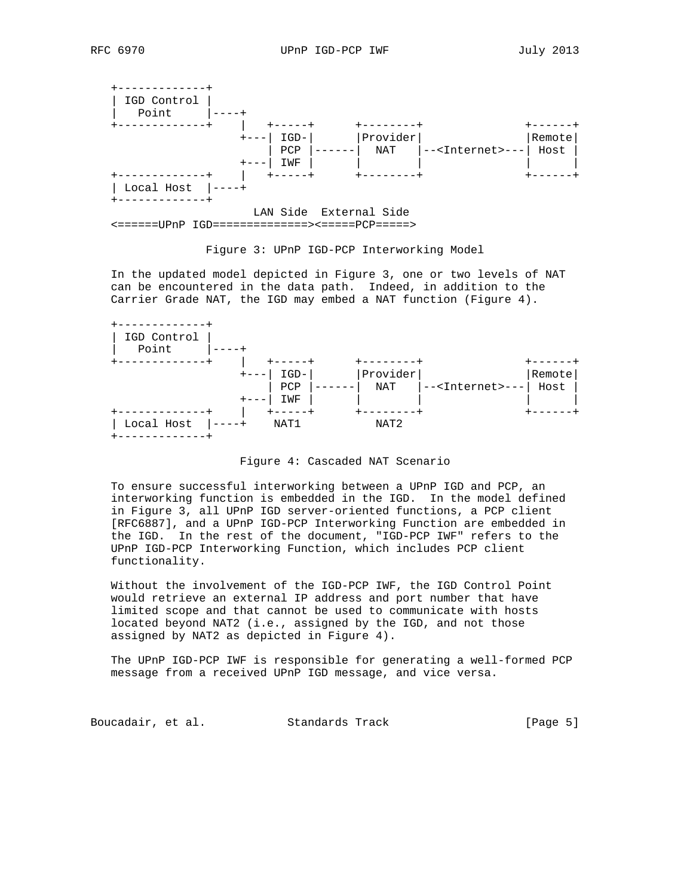

<======UPnP IGD==============><=====PCP=====>

Figure 3: UPnP IGD-PCP Interworking Model

 In the updated model depicted in Figure 3, one or two levels of NAT can be encountered in the data path. Indeed, in addition to the Carrier Grade NAT, the IGD may embed a NAT function (Figure 4).



### Figure 4: Cascaded NAT Scenario

 To ensure successful interworking between a UPnP IGD and PCP, an interworking function is embedded in the IGD. In the model defined in Figure 3, all UPnP IGD server-oriented functions, a PCP client [RFC6887], and a UPnP IGD-PCP Interworking Function are embedded in the IGD. In the rest of the document, "IGD-PCP IWF" refers to the UPnP IGD-PCP Interworking Function, which includes PCP client functionality.

 Without the involvement of the IGD-PCP IWF, the IGD Control Point would retrieve an external IP address and port number that have limited scope and that cannot be used to communicate with hosts located beyond NAT2 (i.e., assigned by the IGD, and not those assigned by NAT2 as depicted in Figure 4).

 The UPnP IGD-PCP IWF is responsible for generating a well-formed PCP message from a received UPnP IGD message, and vice versa.

Boucadair, et al. Standards Track [Page 5]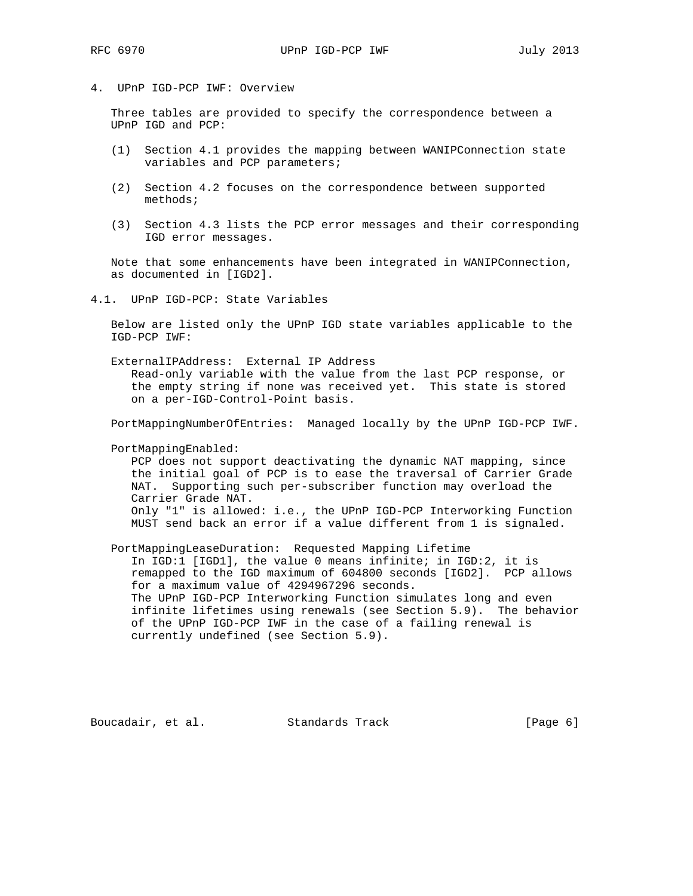## 4. UPnP IGD-PCP IWF: Overview

 Three tables are provided to specify the correspondence between a UPnP IGD and PCP:

- (1) Section 4.1 provides the mapping between WANIPConnection state variables and PCP parameters;
- (2) Section 4.2 focuses on the correspondence between supported methods;
- (3) Section 4.3 lists the PCP error messages and their corresponding IGD error messages.

 Note that some enhancements have been integrated in WANIPConnection, as documented in [IGD2].

4.1. UPnP IGD-PCP: State Variables

 Below are listed only the UPnP IGD state variables applicable to the IGD-PCP IWF:

 ExternalIPAddress: External IP Address Read-only variable with the value from the last PCP response, or the empty string if none was received yet. This state is stored on a per-IGD-Control-Point basis.

PortMappingNumberOfEntries: Managed locally by the UPnP IGD-PCP IWF.

PortMappingEnabled:

 PCP does not support deactivating the dynamic NAT mapping, since the initial goal of PCP is to ease the traversal of Carrier Grade NAT. Supporting such per-subscriber function may overload the Carrier Grade NAT. Only "1" is allowed: i.e., the UPnP IGD-PCP Interworking Function MUST send back an error if a value different from 1 is signaled.

 PortMappingLeaseDuration: Requested Mapping Lifetime In IGD:1 [IGD1], the value 0 means infinite; in IGD:2, it is remapped to the IGD maximum of 604800 seconds [IGD2]. PCP allows for a maximum value of 4294967296 seconds. The UPnP IGD-PCP Interworking Function simulates long and even infinite lifetimes using renewals (see Section 5.9). The behavior of the UPnP IGD-PCP IWF in the case of a failing renewal is currently undefined (see Section 5.9).

Boucadair, et al. Standards Track [Page 6]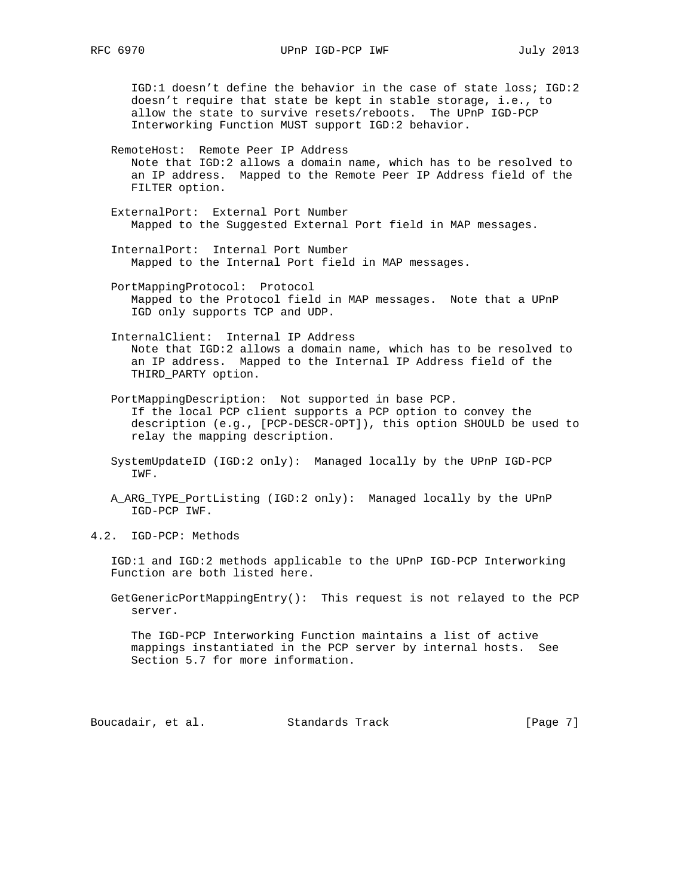IGD:1 doesn't define the behavior in the case of state loss; IGD:2 doesn't require that state be kept in stable storage, i.e., to allow the state to survive resets/reboots. The UPnP IGD-PCP Interworking Function MUST support IGD:2 behavior.

 RemoteHost: Remote Peer IP Address Note that IGD:2 allows a domain name, which has to be resolved to an IP address. Mapped to the Remote Peer IP Address field of the FILTER option.

 ExternalPort: External Port Number Mapped to the Suggested External Port field in MAP messages.

 InternalPort: Internal Port Number Mapped to the Internal Port field in MAP messages.

 PortMappingProtocol: Protocol Mapped to the Protocol field in MAP messages. Note that a UPnP IGD only supports TCP and UDP.

 InternalClient: Internal IP Address Note that IGD:2 allows a domain name, which has to be resolved to an IP address. Mapped to the Internal IP Address field of the THIRD\_PARTY option.

 PortMappingDescription: Not supported in base PCP. If the local PCP client supports a PCP option to convey the description (e.g., [PCP-DESCR-OPT]), this option SHOULD be used to relay the mapping description.

 SystemUpdateID (IGD:2 only): Managed locally by the UPnP IGD-PCP IWF.

A ARG TYPE PortListing (IGD:2 only): Managed locally by the UPnP IGD-PCP IWF.

4.2. IGD-PCP: Methods

 IGD:1 and IGD:2 methods applicable to the UPnP IGD-PCP Interworking Function are both listed here.

 GetGenericPortMappingEntry(): This request is not relayed to the PCP server.

 The IGD-PCP Interworking Function maintains a list of active mappings instantiated in the PCP server by internal hosts. See Section 5.7 for more information.

Boucadair, et al. Standards Track [Page 7]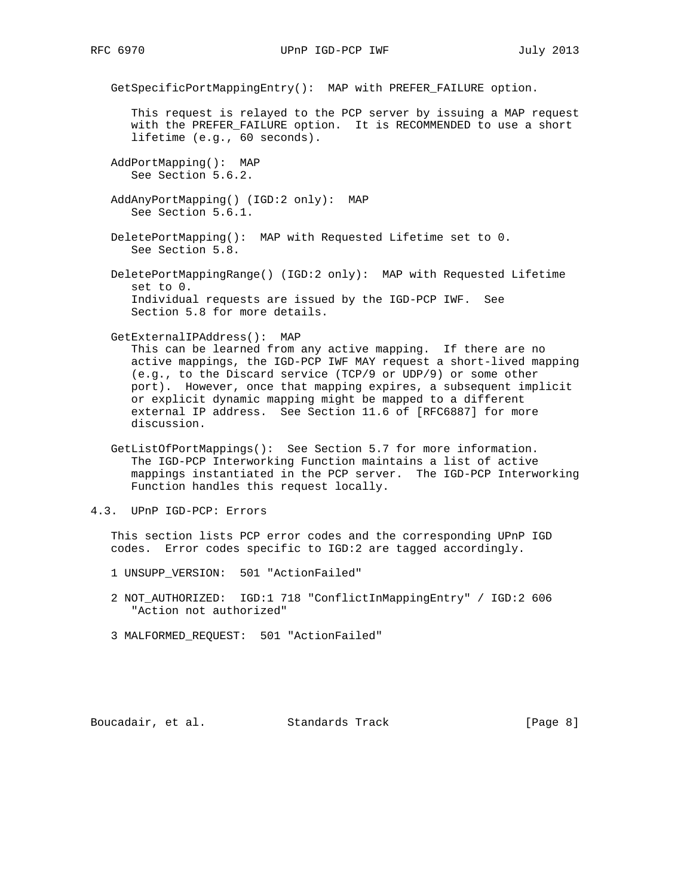GetSpecificPortMappingEntry(): MAP with PREFER\_FAILURE option.

 This request is relayed to the PCP server by issuing a MAP request with the PREFER\_FAILURE option. It is RECOMMENDED to use a short lifetime (e.g., 60 seconds).

 AddPortMapping(): MAP See Section 5.6.2.

 AddAnyPortMapping() (IGD:2 only): MAP See Section 5.6.1.

 DeletePortMapping(): MAP with Requested Lifetime set to 0. See Section 5.8.

 DeletePortMappingRange() (IGD:2 only): MAP with Requested Lifetime set to 0. Individual requests are issued by the IGD-PCP IWF. See Section 5.8 for more details.

GetExternalIPAddress(): MAP

 This can be learned from any active mapping. If there are no active mappings, the IGD-PCP IWF MAY request a short-lived mapping (e.g., to the Discard service (TCP/9 or UDP/9) or some other port). However, once that mapping expires, a subsequent implicit or explicit dynamic mapping might be mapped to a different external IP address. See Section 11.6 of [RFC6887] for more discussion.

 GetListOfPortMappings(): See Section 5.7 for more information. The IGD-PCP Interworking Function maintains a list of active mappings instantiated in the PCP server. The IGD-PCP Interworking Function handles this request locally.

4.3. UPnP IGD-PCP: Errors

 This section lists PCP error codes and the corresponding UPnP IGD codes. Error codes specific to IGD:2 are tagged accordingly.

- 1 UNSUPP\_VERSION: 501 "ActionFailed"
- 2 NOT\_AUTHORIZED: IGD:1 718 "ConflictInMappingEntry" / IGD:2 606 "Action not authorized"
- 3 MALFORMED\_REQUEST: 501 "ActionFailed"

Boucadair, et al. Standards Track [Page 8]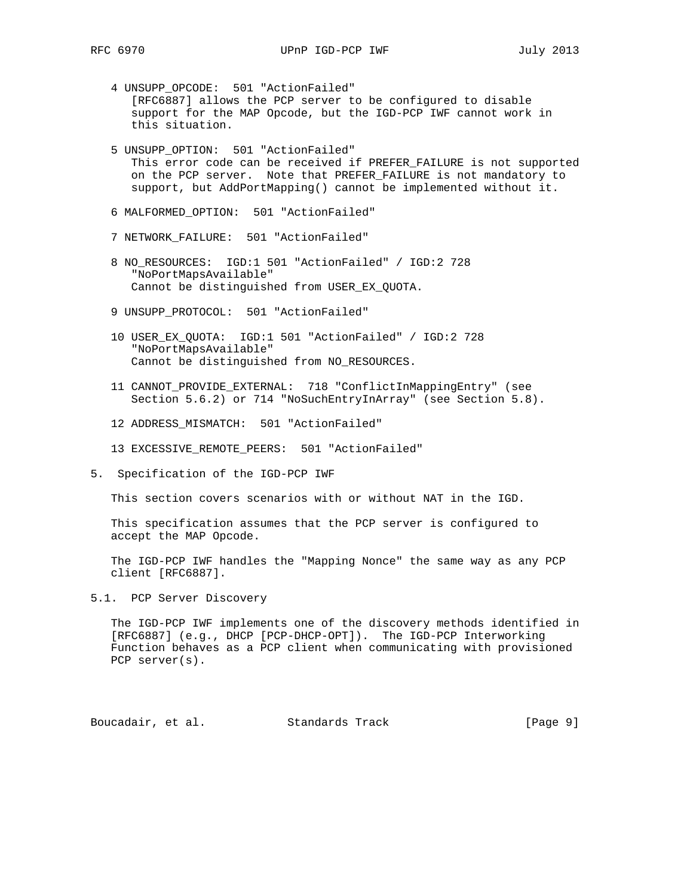- 4 UNSUPP\_OPCODE: 501 "ActionFailed" [RFC6887] allows the PCP server to be configured to disable support for the MAP Opcode, but the IGD-PCP IWF cannot work in this situation.
- 5 UNSUPP\_OPTION: 501 "ActionFailed" This error code can be received if PREFER\_FAILURE is not supported on the PCP server. Note that PREFER\_FAILURE is not mandatory to support, but AddPortMapping() cannot be implemented without it.
- 6 MALFORMED\_OPTION: 501 "ActionFailed"
- 7 NETWORK\_FAILURE: 501 "ActionFailed"
- 8 NO\_RESOURCES: IGD:1 501 "ActionFailed" / IGD:2 728 "NoPortMapsAvailable" Cannot be distinguished from USER\_EX\_QUOTA.
- 9 UNSUPP\_PROTOCOL: 501 "ActionFailed"
- 10 USER\_EX\_QUOTA: IGD:1 501 "ActionFailed" / IGD:2 728 "NoPortMapsAvailable" Cannot be distinguished from NO\_RESOURCES.
- 11 CANNOT\_PROVIDE\_EXTERNAL: 718 "ConflictInMappingEntry" (see Section 5.6.2) or 714 "NoSuchEntryInArray" (see Section 5.8).
- 12 ADDRESS\_MISMATCH: 501 "ActionFailed"
- 13 EXCESSIVE\_REMOTE\_PEERS: 501 "ActionFailed"
- 5. Specification of the IGD-PCP IWF

This section covers scenarios with or without NAT in the IGD.

 This specification assumes that the PCP server is configured to accept the MAP Opcode.

 The IGD-PCP IWF handles the "Mapping Nonce" the same way as any PCP client [RFC6887].

5.1. PCP Server Discovery

 The IGD-PCP IWF implements one of the discovery methods identified in [RFC6887] (e.g., DHCP [PCP-DHCP-OPT]). The IGD-PCP Interworking Function behaves as a PCP client when communicating with provisioned PCP server(s).

Boucadair, et al. Standards Track [Page 9]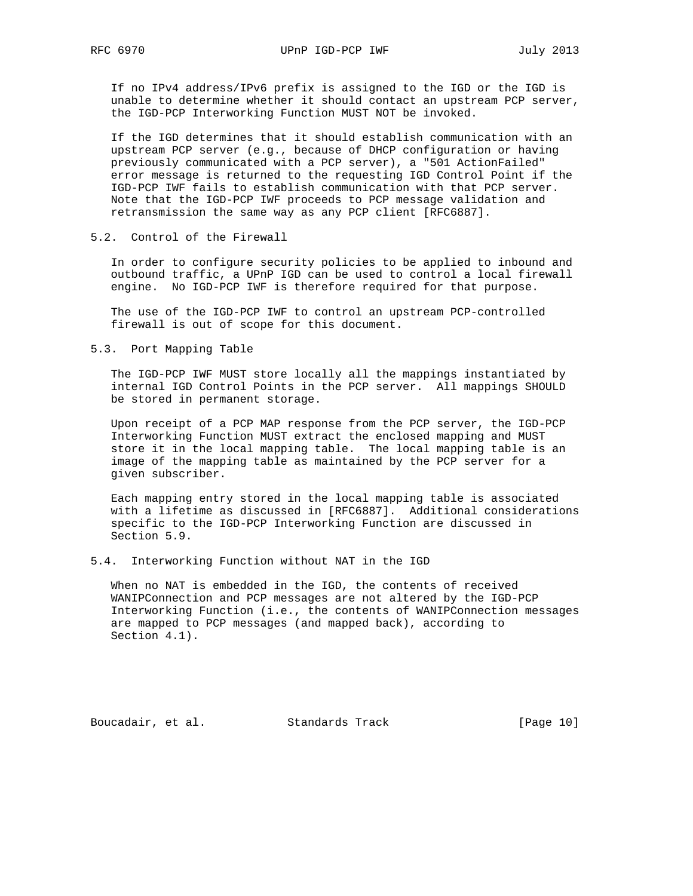If no IPv4 address/IPv6 prefix is assigned to the IGD or the IGD is unable to determine whether it should contact an upstream PCP server, the IGD-PCP Interworking Function MUST NOT be invoked.

 If the IGD determines that it should establish communication with an upstream PCP server (e.g., because of DHCP configuration or having previously communicated with a PCP server), a "501 ActionFailed" error message is returned to the requesting IGD Control Point if the IGD-PCP IWF fails to establish communication with that PCP server. Note that the IGD-PCP IWF proceeds to PCP message validation and retransmission the same way as any PCP client [RFC6887].

### 5.2. Control of the Firewall

 In order to configure security policies to be applied to inbound and outbound traffic, a UPnP IGD can be used to control a local firewall engine. No IGD-PCP IWF is therefore required for that purpose.

 The use of the IGD-PCP IWF to control an upstream PCP-controlled firewall is out of scope for this document.

5.3. Port Mapping Table

 The IGD-PCP IWF MUST store locally all the mappings instantiated by internal IGD Control Points in the PCP server. All mappings SHOULD be stored in permanent storage.

 Upon receipt of a PCP MAP response from the PCP server, the IGD-PCP Interworking Function MUST extract the enclosed mapping and MUST store it in the local mapping table. The local mapping table is an image of the mapping table as maintained by the PCP server for a given subscriber.

 Each mapping entry stored in the local mapping table is associated with a lifetime as discussed in [RFC6887]. Additional considerations specific to the IGD-PCP Interworking Function are discussed in Section 5.9.

5.4. Interworking Function without NAT in the IGD

 When no NAT is embedded in the IGD, the contents of received WANIPConnection and PCP messages are not altered by the IGD-PCP Interworking Function (i.e., the contents of WANIPConnection messages are mapped to PCP messages (and mapped back), according to Section 4.1).

Boucadair, et al. Standards Track [Page 10]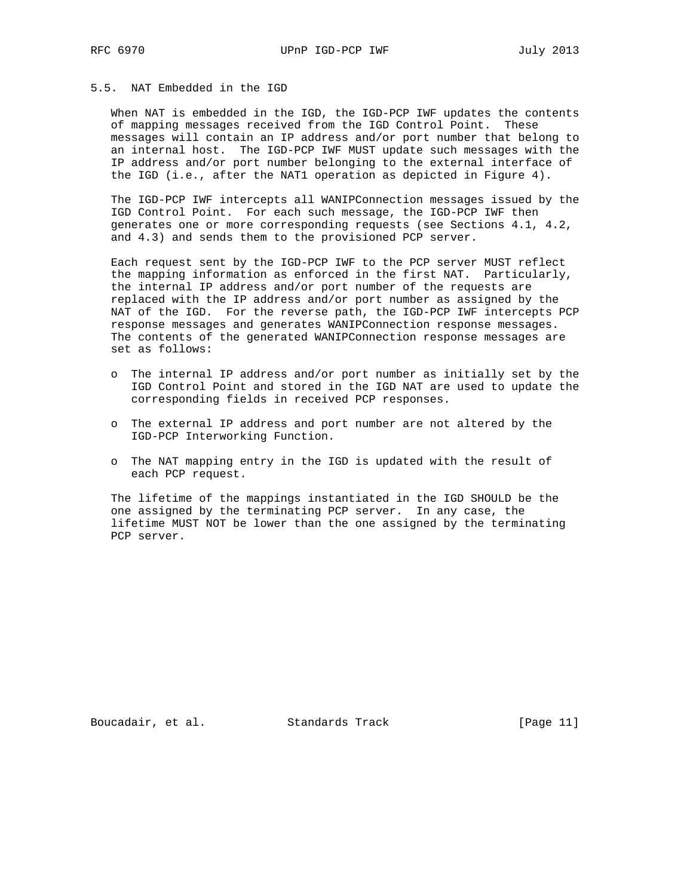## 5.5. NAT Embedded in the IGD

 When NAT is embedded in the IGD, the IGD-PCP IWF updates the contents of mapping messages received from the IGD Control Point. These messages will contain an IP address and/or port number that belong to an internal host. The IGD-PCP IWF MUST update such messages with the IP address and/or port number belonging to the external interface of the IGD (i.e., after the NAT1 operation as depicted in Figure 4).

 The IGD-PCP IWF intercepts all WANIPConnection messages issued by the IGD Control Point. For each such message, the IGD-PCP IWF then generates one or more corresponding requests (see Sections 4.1, 4.2, and 4.3) and sends them to the provisioned PCP server.

 Each request sent by the IGD-PCP IWF to the PCP server MUST reflect the mapping information as enforced in the first NAT. Particularly, the internal IP address and/or port number of the requests are replaced with the IP address and/or port number as assigned by the NAT of the IGD. For the reverse path, the IGD-PCP IWF intercepts PCP response messages and generates WANIPConnection response messages. The contents of the generated WANIPConnection response messages are set as follows:

- o The internal IP address and/or port number as initially set by the IGD Control Point and stored in the IGD NAT are used to update the corresponding fields in received PCP responses.
- o The external IP address and port number are not altered by the IGD-PCP Interworking Function.
- o The NAT mapping entry in the IGD is updated with the result of each PCP request.

 The lifetime of the mappings instantiated in the IGD SHOULD be the one assigned by the terminating PCP server. In any case, the lifetime MUST NOT be lower than the one assigned by the terminating PCP server.

Boucadair, et al. Standards Track [Page 11]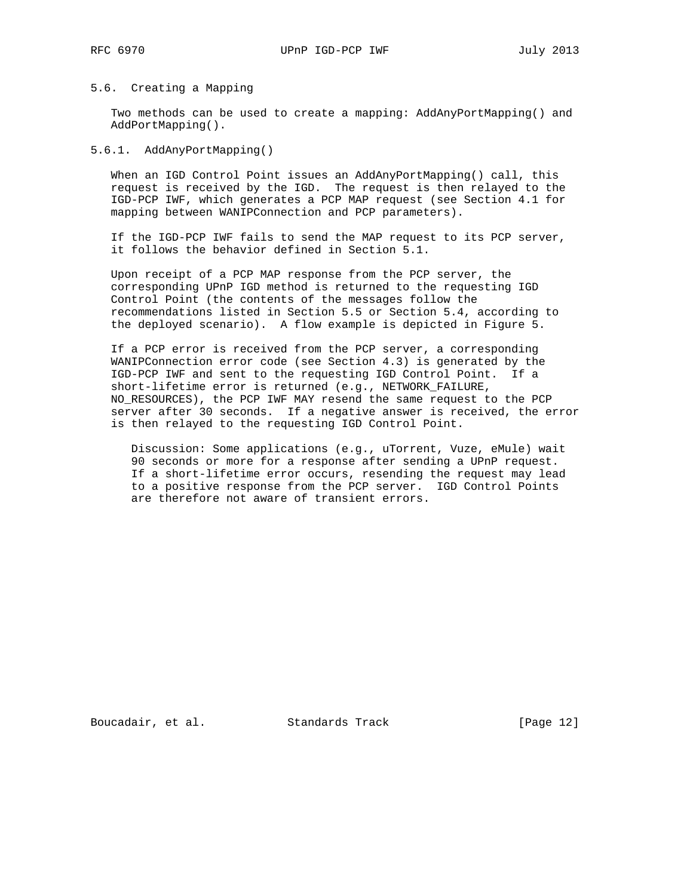## 5.6. Creating a Mapping

 Two methods can be used to create a mapping: AddAnyPortMapping() and AddPortMapping().

## 5.6.1. AddAnyPortMapping()

 When an IGD Control Point issues an AddAnyPortMapping() call, this request is received by the IGD. The request is then relayed to the IGD-PCP IWF, which generates a PCP MAP request (see Section 4.1 for mapping between WANIPConnection and PCP parameters).

 If the IGD-PCP IWF fails to send the MAP request to its PCP server, it follows the behavior defined in Section 5.1.

 Upon receipt of a PCP MAP response from the PCP server, the corresponding UPnP IGD method is returned to the requesting IGD Control Point (the contents of the messages follow the recommendations listed in Section 5.5 or Section 5.4, according to the deployed scenario). A flow example is depicted in Figure 5.

 If a PCP error is received from the PCP server, a corresponding WANIPConnection error code (see Section 4.3) is generated by the IGD-PCP IWF and sent to the requesting IGD Control Point. If a short-lifetime error is returned (e.g., NETWORK\_FAILURE, NO\_RESOURCES), the PCP IWF MAY resend the same request to the PCP server after 30 seconds. If a negative answer is received, the error is then relayed to the requesting IGD Control Point.

 Discussion: Some applications (e.g., uTorrent, Vuze, eMule) wait 90 seconds or more for a response after sending a UPnP request. If a short-lifetime error occurs, resending the request may lead to a positive response from the PCP server. IGD Control Points are therefore not aware of transient errors.

Boucadair, et al. Standards Track [Page 12]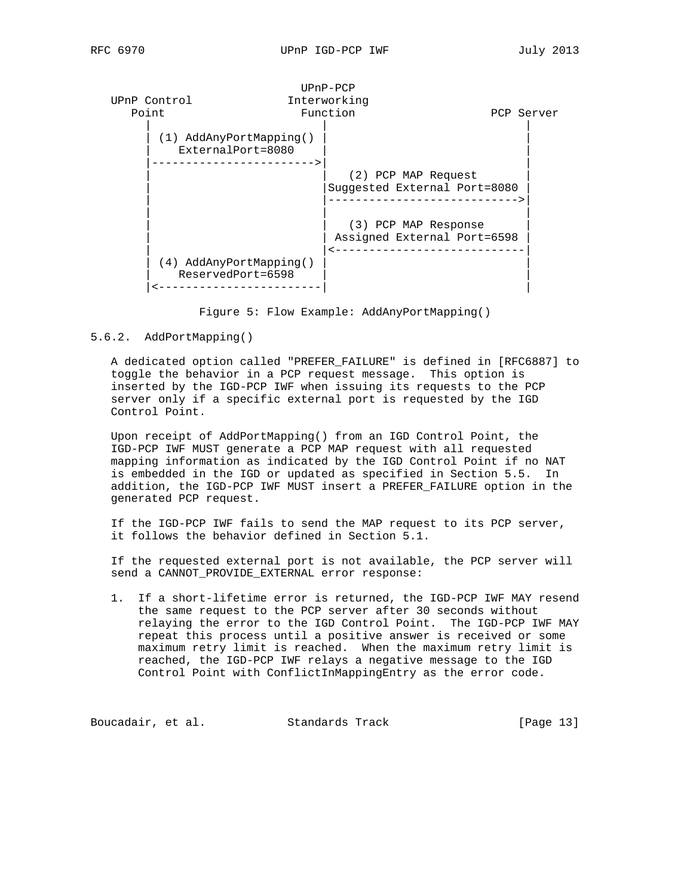

Figure 5: Flow Example: AddAnyPortMapping()

#### 5.6.2. AddPortMapping()

 A dedicated option called "PREFER\_FAILURE" is defined in [RFC6887] to toggle the behavior in a PCP request message. This option is inserted by the IGD-PCP IWF when issuing its requests to the PCP server only if a specific external port is requested by the IGD Control Point.

 Upon receipt of AddPortMapping() from an IGD Control Point, the IGD-PCP IWF MUST generate a PCP MAP request with all requested mapping information as indicated by the IGD Control Point if no NAT is embedded in the IGD or updated as specified in Section 5.5. In addition, the IGD-PCP IWF MUST insert a PREFER\_FAILURE option in the generated PCP request.

 If the IGD-PCP IWF fails to send the MAP request to its PCP server, it follows the behavior defined in Section 5.1.

 If the requested external port is not available, the PCP server will send a CANNOT\_PROVIDE\_EXTERNAL error response:

 1. If a short-lifetime error is returned, the IGD-PCP IWF MAY resend the same request to the PCP server after 30 seconds without relaying the error to the IGD Control Point. The IGD-PCP IWF MAY repeat this process until a positive answer is received or some maximum retry limit is reached. When the maximum retry limit is reached, the IGD-PCP IWF relays a negative message to the IGD Control Point with ConflictInMappingEntry as the error code.

Boucadair, et al. Standards Track [Page 13]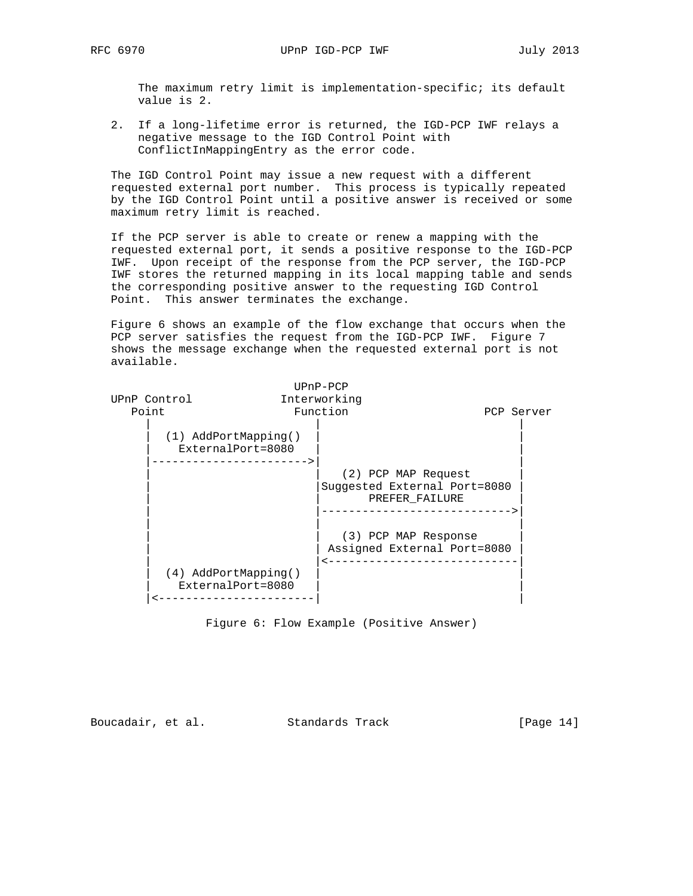The maximum retry limit is implementation-specific; its default value is 2.

 2. If a long-lifetime error is returned, the IGD-PCP IWF relays a negative message to the IGD Control Point with ConflictInMappingEntry as the error code.

 The IGD Control Point may issue a new request with a different requested external port number. This process is typically repeated by the IGD Control Point until a positive answer is received or some maximum retry limit is reached.

 If the PCP server is able to create or renew a mapping with the requested external port, it sends a positive response to the IGD-PCP IWF. Upon receipt of the response from the PCP server, the IGD-PCP IWF stores the returned mapping in its local mapping table and sends the corresponding positive answer to the requesting IGD Control Point. This answer terminates the exchange.

 Figure 6 shows an example of the flow exchange that occurs when the PCP server satisfies the request from the IGD-PCP IWF. Figure 7 shows the message exchange when the requested external port is not available.

|              |                                             | $UPnP-PCP$                                                            |            |
|--------------|---------------------------------------------|-----------------------------------------------------------------------|------------|
| UPnP Control |                                             | Interworking                                                          |            |
| Point        |                                             | Function                                                              | PCP Server |
|              | $(1)$ AddPortMapping()<br>ExternalPort=8080 |                                                                       |            |
|              |                                             | (2) PCP MAP Request<br>Suggested External Port=8080<br>PREFER FAILURE |            |
|              | (4) AddPortMapping()                        | (3) PCP MAP Response<br>Assigned External Port=8080                   |            |
|              | ExternalPort=8080                           |                                                                       |            |

Figure 6: Flow Example (Positive Answer)

Boucadair, et al. Standards Track [Page 14]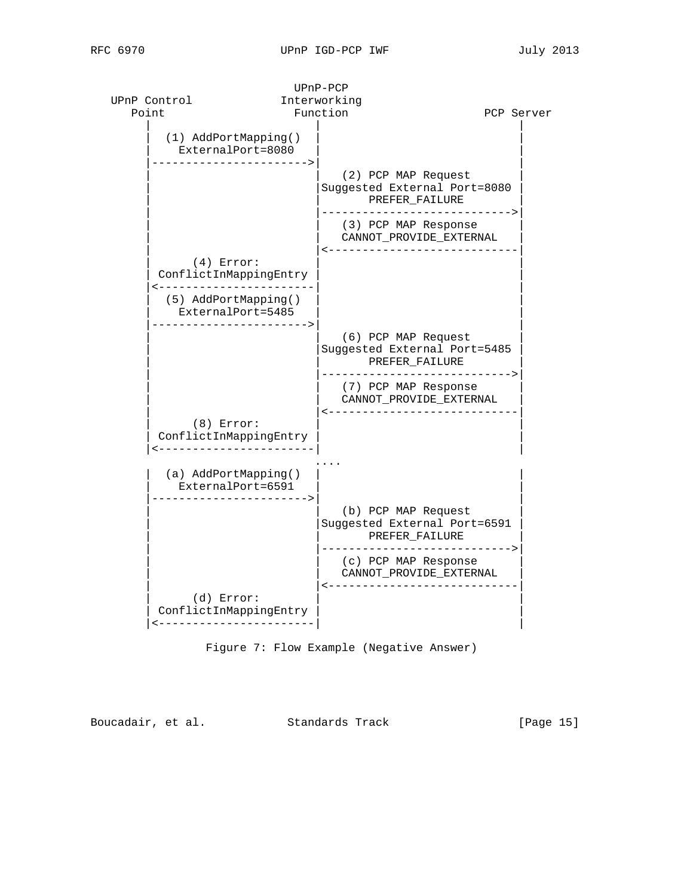

Boucadair, et al. Standards Track [Page 15]

 UPnP-PCP UPnP Control **Interworking** 

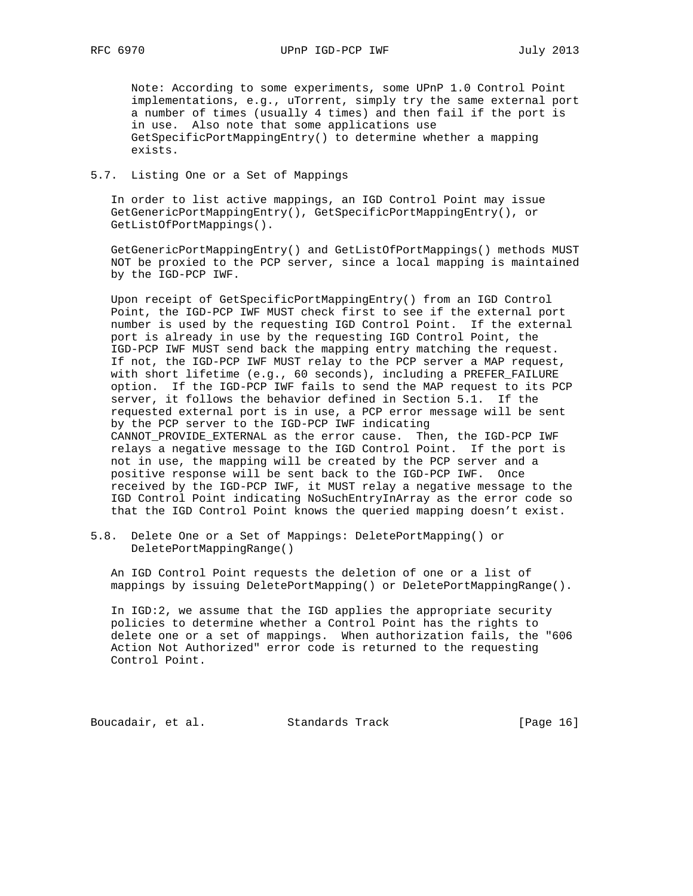Note: According to some experiments, some UPnP 1.0 Control Point implementations, e.g., uTorrent, simply try the same external port a number of times (usually 4 times) and then fail if the port is in use. Also note that some applications use GetSpecificPortMappingEntry() to determine whether a mapping exists.

### 5.7. Listing One or a Set of Mappings

 In order to list active mappings, an IGD Control Point may issue GetGenericPortMappingEntry(), GetSpecificPortMappingEntry(), or GetListOfPortMappings().

 GetGenericPortMappingEntry() and GetListOfPortMappings() methods MUST NOT be proxied to the PCP server, since a local mapping is maintained by the IGD-PCP IWF.

 Upon receipt of GetSpecificPortMappingEntry() from an IGD Control Point, the IGD-PCP IWF MUST check first to see if the external port number is used by the requesting IGD Control Point. If the external port is already in use by the requesting IGD Control Point, the IGD-PCP IWF MUST send back the mapping entry matching the request. If not, the IGD-PCP IWF MUST relay to the PCP server a MAP request, with short lifetime (e.g., 60 seconds), including a PREFER\_FAILURE option. If the IGD-PCP IWF fails to send the MAP request to its PCP server, it follows the behavior defined in Section 5.1. If the requested external port is in use, a PCP error message will be sent by the PCP server to the IGD-PCP IWF indicating CANNOT\_PROVIDE\_EXTERNAL as the error cause. Then, the IGD-PCP IWF relays a negative message to the IGD Control Point. If the port is not in use, the mapping will be created by the PCP server and a positive response will be sent back to the IGD-PCP IWF. Once received by the IGD-PCP IWF, it MUST relay a negative message to the IGD Control Point indicating NoSuchEntryInArray as the error code so that the IGD Control Point knows the queried mapping doesn't exist.

5.8. Delete One or a Set of Mappings: DeletePortMapping() or DeletePortMappingRange()

 An IGD Control Point requests the deletion of one or a list of mappings by issuing DeletePortMapping() or DeletePortMappingRange().

 In IGD:2, we assume that the IGD applies the appropriate security policies to determine whether a Control Point has the rights to delete one or a set of mappings. When authorization fails, the "606 Action Not Authorized" error code is returned to the requesting Control Point.

Boucadair, et al. Standards Track [Page 16]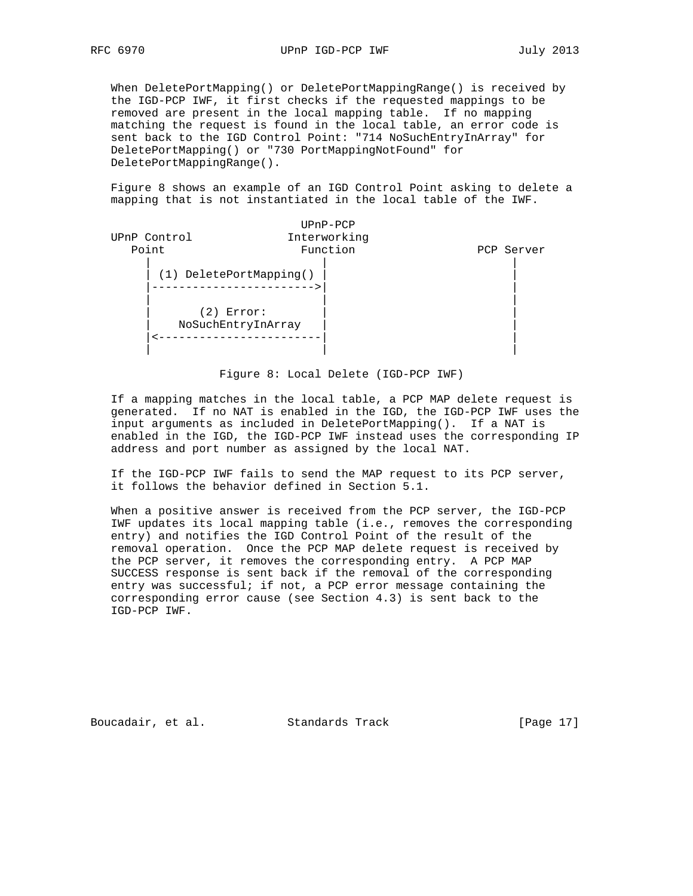When DeletePortMapping() or DeletePortMappingRange() is received by the IGD-PCP IWF, it first checks if the requested mappings to be removed are present in the local mapping table. If no mapping matching the request is found in the local table, an error code is sent back to the IGD Control Point: "714 NoSuchEntryInArray" for DeletePortMapping() or "730 PortMappingNotFound" for DeletePortMappingRange().

 Figure 8 shows an example of an IGD Control Point asking to delete a mapping that is not instantiated in the local table of the IWF.

| Interworking<br>UPnP Control<br>Point<br>Function<br>PCP Server |  |
|-----------------------------------------------------------------|--|
|                                                                 |  |
|                                                                 |  |
| (1) DeletePortMapping()                                         |  |
| (2)<br>Error:<br>NoSuchEntryInArray                             |  |

## Figure 8: Local Delete (IGD-PCP IWF)

 If a mapping matches in the local table, a PCP MAP delete request is generated. If no NAT is enabled in the IGD, the IGD-PCP IWF uses the input arguments as included in DeletePortMapping(). If a NAT is enabled in the IGD, the IGD-PCP IWF instead uses the corresponding IP address and port number as assigned by the local NAT.

 If the IGD-PCP IWF fails to send the MAP request to its PCP server, it follows the behavior defined in Section 5.1.

 When a positive answer is received from the PCP server, the IGD-PCP IWF updates its local mapping table (i.e., removes the corresponding entry) and notifies the IGD Control Point of the result of the removal operation. Once the PCP MAP delete request is received by the PCP server, it removes the corresponding entry. A PCP MAP SUCCESS response is sent back if the removal of the corresponding entry was successful; if not, a PCP error message containing the corresponding error cause (see Section 4.3) is sent back to the IGD-PCP IWF.

Boucadair, et al. Standards Track [Page 17]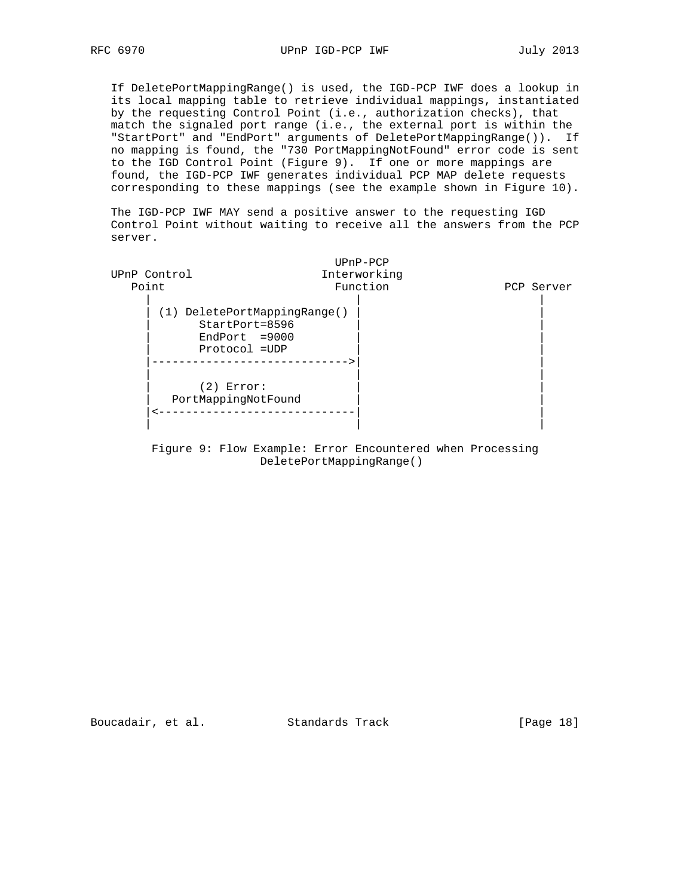If DeletePortMappingRange() is used, the IGD-PCP IWF does a lookup in its local mapping table to retrieve individual mappings, instantiated by the requesting Control Point (i.e., authorization checks), that match the signaled port range (i.e., the external port is within the "StartPort" and "EndPort" arguments of DeletePortMappingRange()). If no mapping is found, the "730 PortMappingNotFound" error code is sent to the IGD Control Point (Figure 9). If one or more mappings are found, the IGD-PCP IWF generates individual PCP MAP delete requests corresponding to these mappings (see the example shown in Figure 10).

 The IGD-PCP IWF MAY send a positive answer to the requesting IGD Control Point without waiting to receive all the answers from the PCP server.



 Figure 9: Flow Example: Error Encountered when Processing DeletePortMappingRange()

Boucadair, et al. Standards Track [Page 18]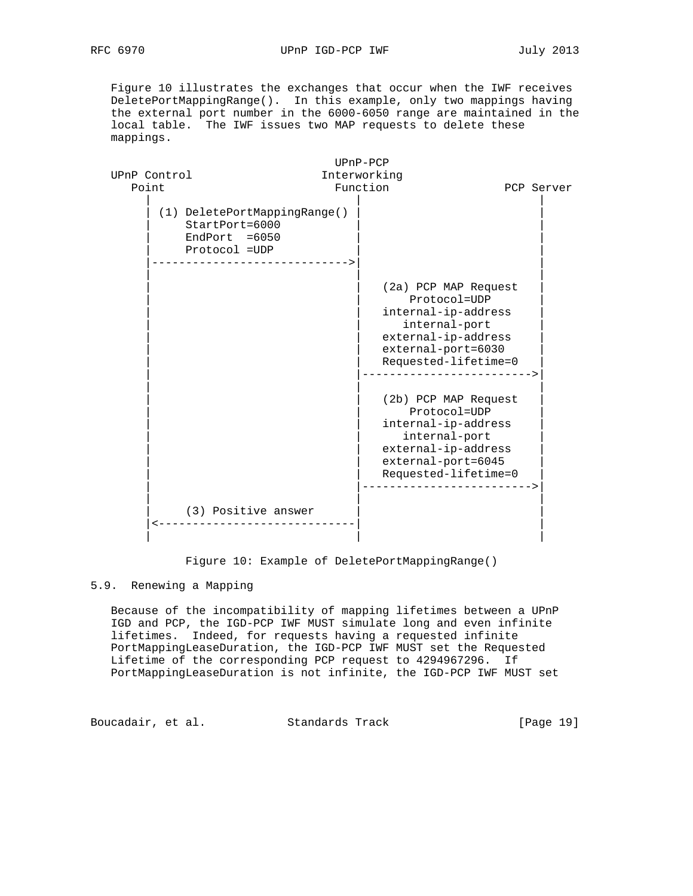Figure 10 illustrates the exchanges that occur when the IWF receives DeletePortMappingRange(). In this example, only two mappings having the external port number in the 6000-6050 range are maintained in the local table. The IWF issues two MAP requests to delete these mappings.

|              |                                                                                                                      | $UPnP-PCP$                                                                                                                                                                     |            |
|--------------|----------------------------------------------------------------------------------------------------------------------|--------------------------------------------------------------------------------------------------------------------------------------------------------------------------------|------------|
| UPnP Control |                                                                                                                      | Interworking                                                                                                                                                                   |            |
| Point        |                                                                                                                      | Function                                                                                                                                                                       | PCP Server |
|              | (1) DeletePortMappingRange()<br>$StartPort = 6000$<br>$EndPort = 6050$<br>Protocol = UDP<br>------------------------ |                                                                                                                                                                                |            |
|              |                                                                                                                      | (2a) PCP MAP Request<br>Protocol=UDP<br>internal-ip-address<br>internal-port<br>external-ip-address<br>external-port=6030<br>Requested-lifetime=0<br>---------------------->   |            |
|              |                                                                                                                      | (2b) PCP MAP Request<br>Protocol=UDP<br>internal-ip-address<br>internal-port<br>external-ip-address<br>external-port=6045<br>Requested-lifetime=0<br>------------------------> |            |
|              | (3) Positive answer                                                                                                  |                                                                                                                                                                                |            |

Figure 10: Example of DeletePortMappingRange()

### 5.9. Renewing a Mapping

 Because of the incompatibility of mapping lifetimes between a UPnP IGD and PCP, the IGD-PCP IWF MUST simulate long and even infinite lifetimes. Indeed, for requests having a requested infinite PortMappingLeaseDuration, the IGD-PCP IWF MUST set the Requested Lifetime of the corresponding PCP request to 4294967296. If PortMappingLeaseDuration is not infinite, the IGD-PCP IWF MUST set

Boucadair, et al. Standards Track [Page 19]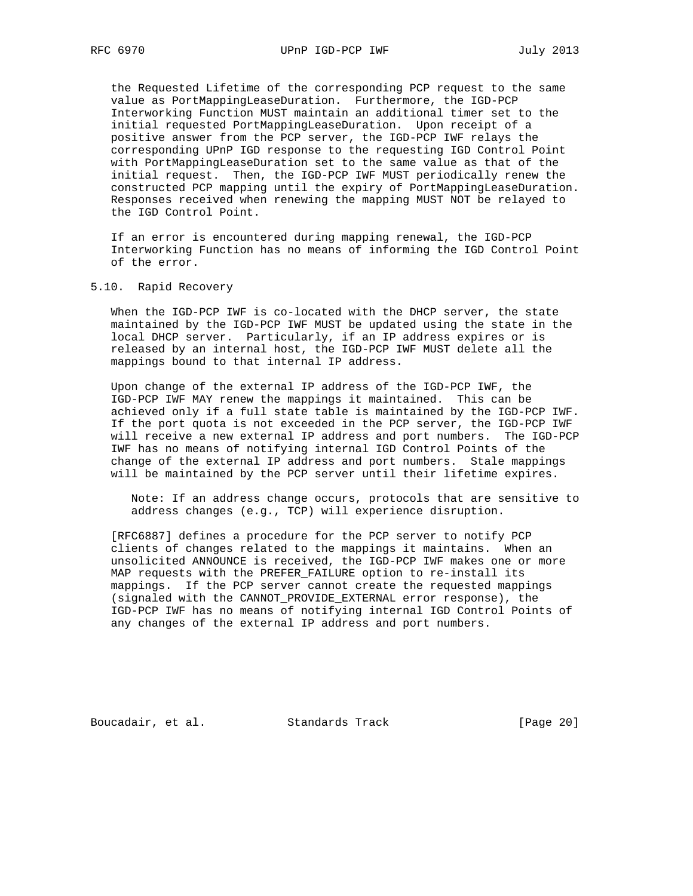the Requested Lifetime of the corresponding PCP request to the same value as PortMappingLeaseDuration. Furthermore, the IGD-PCP Interworking Function MUST maintain an additional timer set to the initial requested PortMappingLeaseDuration. Upon receipt of a positive answer from the PCP server, the IGD-PCP IWF relays the corresponding UPnP IGD response to the requesting IGD Control Point with PortMappingLeaseDuration set to the same value as that of the initial request. Then, the IGD-PCP IWF MUST periodically renew the constructed PCP mapping until the expiry of PortMappingLeaseDuration. Responses received when renewing the mapping MUST NOT be relayed to the IGD Control Point.

 If an error is encountered during mapping renewal, the IGD-PCP Interworking Function has no means of informing the IGD Control Point of the error.

#### 5.10. Rapid Recovery

 When the IGD-PCP IWF is co-located with the DHCP server, the state maintained by the IGD-PCP IWF MUST be updated using the state in the local DHCP server. Particularly, if an IP address expires or is released by an internal host, the IGD-PCP IWF MUST delete all the mappings bound to that internal IP address.

 Upon change of the external IP address of the IGD-PCP IWF, the IGD-PCP IWF MAY renew the mappings it maintained. This can be achieved only if a full state table is maintained by the IGD-PCP IWF. If the port quota is not exceeded in the PCP server, the IGD-PCP IWF will receive a new external IP address and port numbers. The IGD-PCP IWF has no means of notifying internal IGD Control Points of the change of the external IP address and port numbers. Stale mappings will be maintained by the PCP server until their lifetime expires.

 Note: If an address change occurs, protocols that are sensitive to address changes (e.g., TCP) will experience disruption.

 [RFC6887] defines a procedure for the PCP server to notify PCP clients of changes related to the mappings it maintains. When an unsolicited ANNOUNCE is received, the IGD-PCP IWF makes one or more MAP requests with the PREFER\_FAILURE option to re-install its mappings. If the PCP server cannot create the requested mappings (signaled with the CANNOT\_PROVIDE\_EXTERNAL error response), the IGD-PCP IWF has no means of notifying internal IGD Control Points of any changes of the external IP address and port numbers.

Boucadair, et al. Standards Track [Page 20]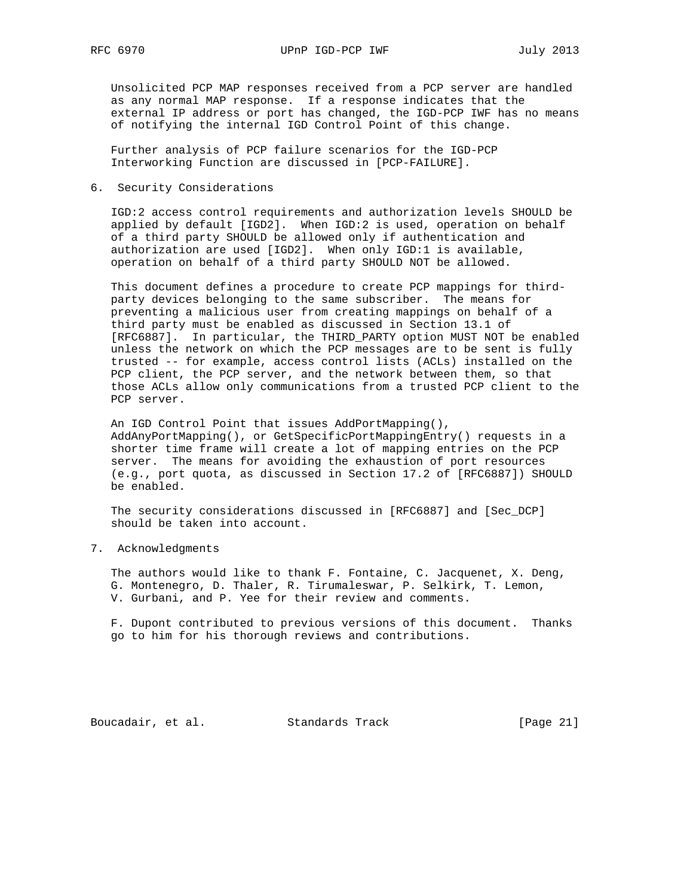RFC 6970 UPnP IGD-PCP IWF July 2013

 Unsolicited PCP MAP responses received from a PCP server are handled as any normal MAP response. If a response indicates that the external IP address or port has changed, the IGD-PCP IWF has no means of notifying the internal IGD Control Point of this change.

 Further analysis of PCP failure scenarios for the IGD-PCP Interworking Function are discussed in [PCP-FAILURE].

6. Security Considerations

 IGD:2 access control requirements and authorization levels SHOULD be applied by default [IGD2]. When IGD:2 is used, operation on behalf of a third party SHOULD be allowed only if authentication and authorization are used [IGD2]. When only IGD:1 is available, operation on behalf of a third party SHOULD NOT be allowed.

 This document defines a procedure to create PCP mappings for third party devices belonging to the same subscriber. The means for preventing a malicious user from creating mappings on behalf of a third party must be enabled as discussed in Section 13.1 of [RFC6887]. In particular, the THIRD\_PARTY option MUST NOT be enabled unless the network on which the PCP messages are to be sent is fully trusted -- for example, access control lists (ACLs) installed on the PCP client, the PCP server, and the network between them, so that those ACLs allow only communications from a trusted PCP client to the PCP server.

 An IGD Control Point that issues AddPortMapping(), AddAnyPortMapping(), or GetSpecificPortMappingEntry() requests in a shorter time frame will create a lot of mapping entries on the PCP server. The means for avoiding the exhaustion of port resources (e.g., port quota, as discussed in Section 17.2 of [RFC6887]) SHOULD be enabled.

 The security considerations discussed in [RFC6887] and [Sec\_DCP] should be taken into account.

7. Acknowledgments

 The authors would like to thank F. Fontaine, C. Jacquenet, X. Deng, G. Montenegro, D. Thaler, R. Tirumaleswar, P. Selkirk, T. Lemon, V. Gurbani, and P. Yee for their review and comments.

 F. Dupont contributed to previous versions of this document. Thanks go to him for his thorough reviews and contributions.

Boucadair, et al. Standards Track [Page 21]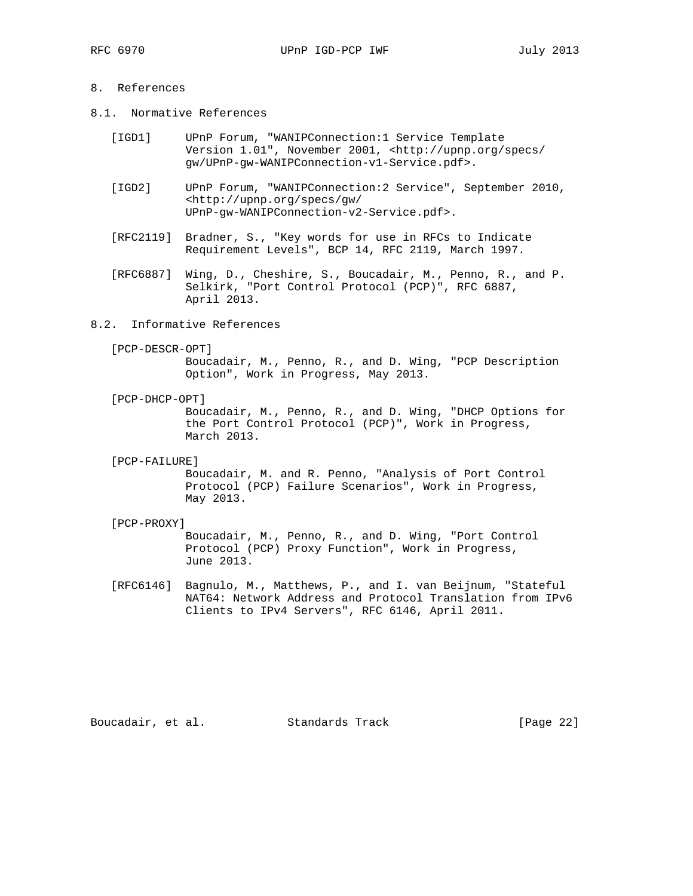# 8. References

- 8.1. Normative References
	- [IGD1] UPnP Forum, "WANIPConnection:1 Service Template Version 1.01", November 2001, <http://upnp.org/specs/ gw/UPnP-gw-WANIPConnection-v1-Service.pdf>.
	- [IGD2] UPnP Forum, "WANIPConnection:2 Service", September 2010, <http://upnp.org/specs/gw/ UPnP-gw-WANIPConnection-v2-Service.pdf>.
	- [RFC2119] Bradner, S., "Key words for use in RFCs to Indicate Requirement Levels", BCP 14, RFC 2119, March 1997.
	- [RFC6887] Wing, D., Cheshire, S., Boucadair, M., Penno, R., and P. Selkirk, "Port Control Protocol (PCP)", RFC 6887, April 2013.
- 8.2. Informative References
	- [PCP-DESCR-OPT]

 Boucadair, M., Penno, R., and D. Wing, "PCP Description Option", Work in Progress, May 2013.

[PCP-DHCP-OPT]

 Boucadair, M., Penno, R., and D. Wing, "DHCP Options for the Port Control Protocol (PCP)", Work in Progress, March 2013.

[PCP-FAILURE]

 Boucadair, M. and R. Penno, "Analysis of Port Control Protocol (PCP) Failure Scenarios", Work in Progress, May 2013.

[PCP-PROXY]

 Boucadair, M., Penno, R., and D. Wing, "Port Control Protocol (PCP) Proxy Function", Work in Progress, June 2013.

 [RFC6146] Bagnulo, M., Matthews, P., and I. van Beijnum, "Stateful NAT64: Network Address and Protocol Translation from IPv6 Clients to IPv4 Servers", RFC 6146, April 2011.

Boucadair, et al. Standards Track [Page 22]